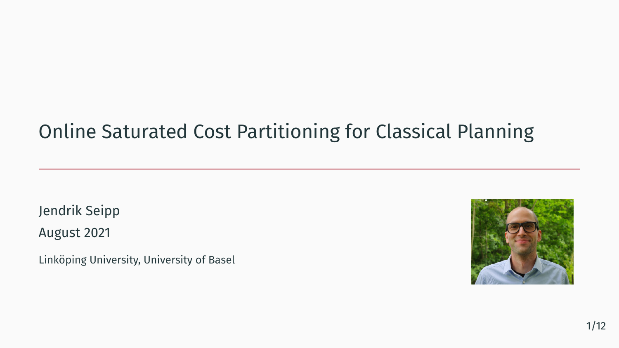# Online Saturated Cost Partitioning for Classical Planning

Jendrik Seipp August 2021

Linköping University, University of Basel

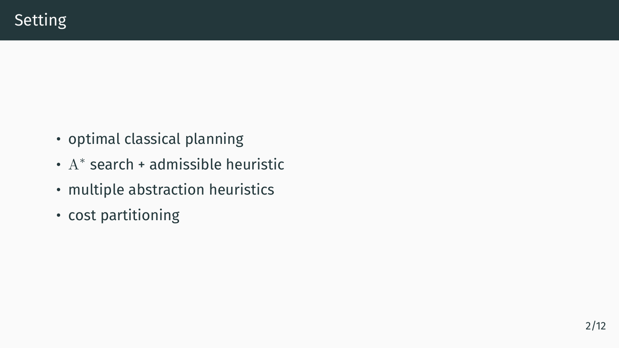- optimal classical planning
- A *∗* search + admissible heuristic
- multiple abstraction heuristics
- cost partitioning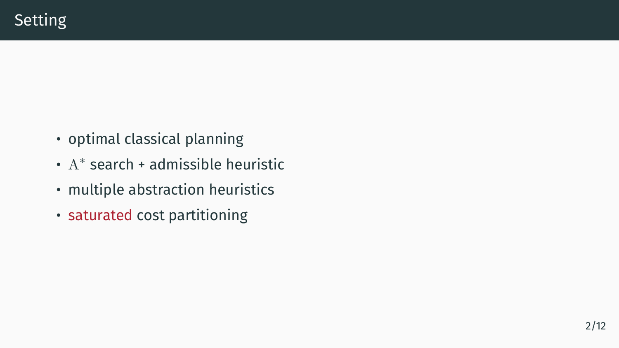- optimal classical planning
- A *∗* search + admissible heuristic
- multiple abstraction heuristics
- saturated cost partitioning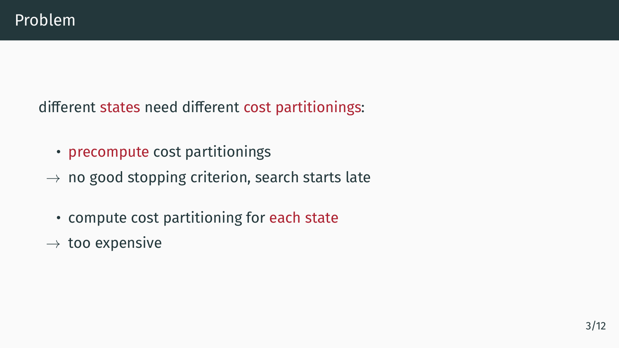different states need different cost partitionings:

- precompute cost partitionings
- *→* no good stopping criterion, search starts late
	- compute cost partitioning for each state
- *→* too expensive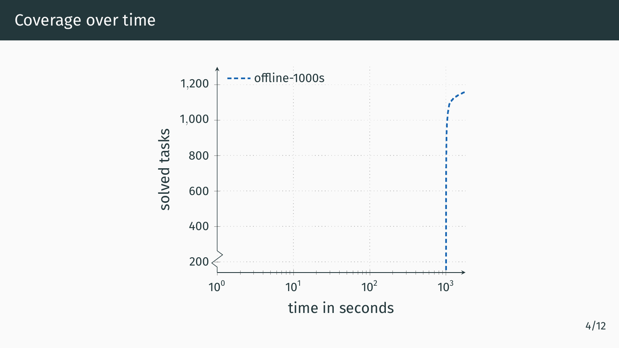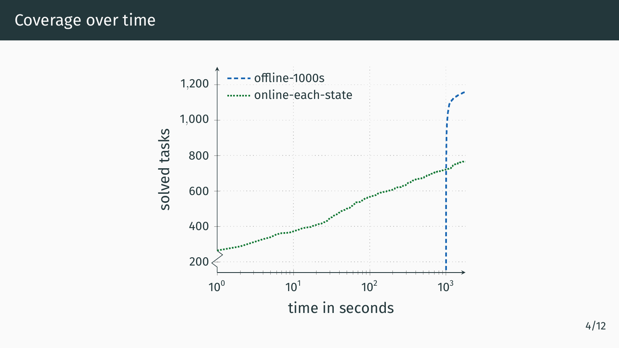Coverage over time

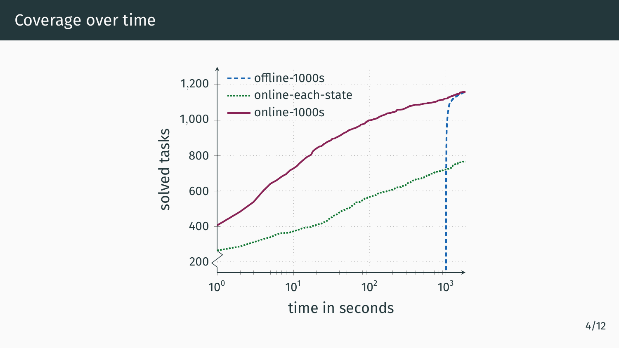Coverage over time

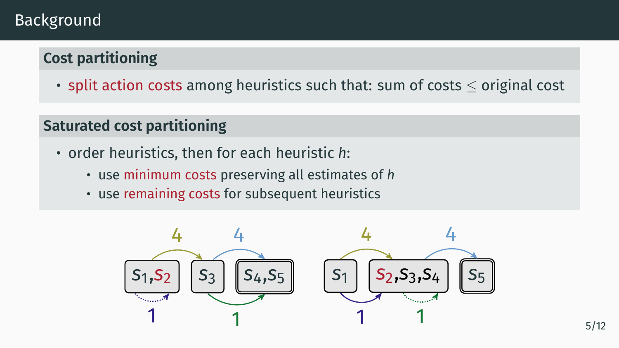## **Cost partitioning**

• split action costs among heuristics such that: sum of costs *≤* original cost

- order heuristics, then for each heuristic *h*:
	- use minimum costs preserving all estimates of *h*
	- use remaining costs for subsequent heuristics

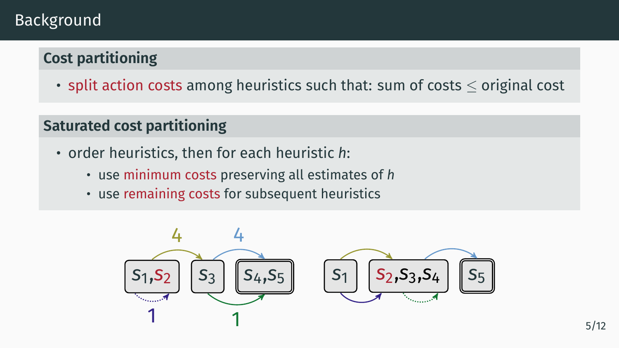## **Cost partitioning**

• split action costs among heuristics such that: sum of costs *≤* original cost

- order heuristics, then for each heuristic *h*:
	- use minimum costs preserving all estimates of *h*
	- use remaining costs for subsequent heuristics

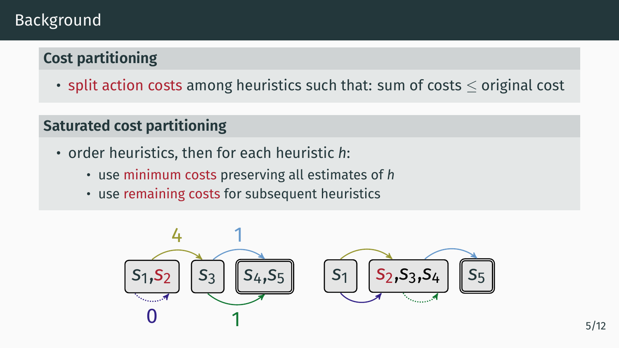## **Cost partitioning**

• split action costs among heuristics such that: sum of costs *≤* original cost

- order heuristics, then for each heuristic *h*:
	- use minimum costs preserving all estimates of *h*
	- use remaining costs for subsequent heuristics

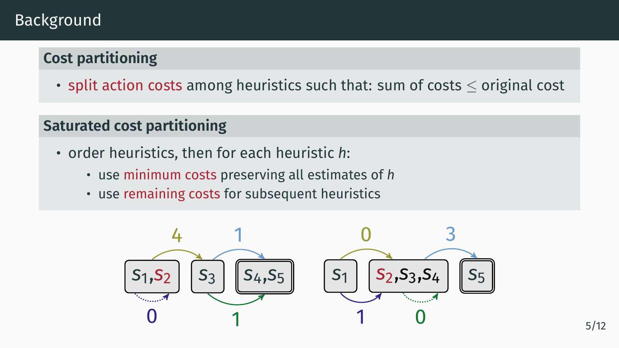## **Cost partitioning**

• split action costs among heuristics such that: sum of costs *≤* original cost

- order heuristics, then for each heuristic *h*:
	- use minimum costs preserving all estimates of *h*
	- use remaining costs for subsequent heuristics

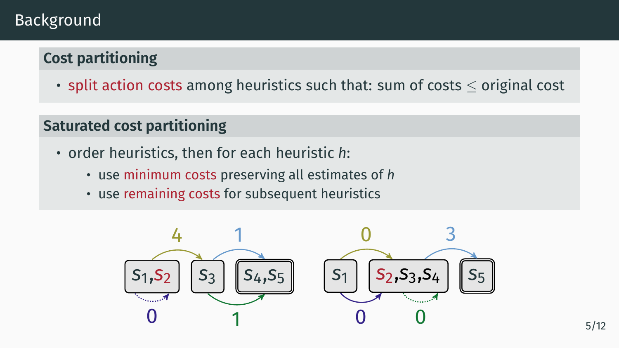## **Cost partitioning**

• split action costs among heuristics such that: sum of costs *≤* original cost

- order heuristics, then for each heuristic *h*:
	- use minimum costs preserving all estimates of *h*
	- use remaining costs for subsequent heuristics

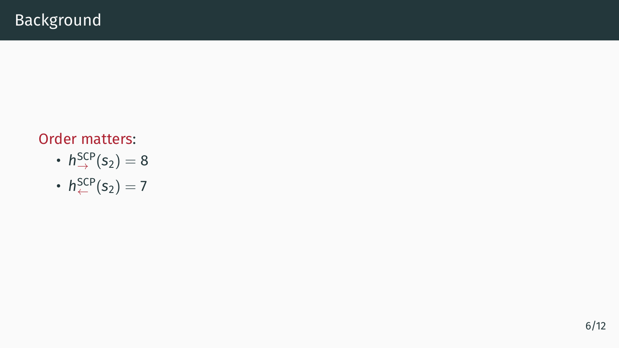#### Order matters:

- $h_{\rightarrow}^{SCP}(s_2)=8$
- $h_{\leftarrow}^{SCP}(s_2)=7$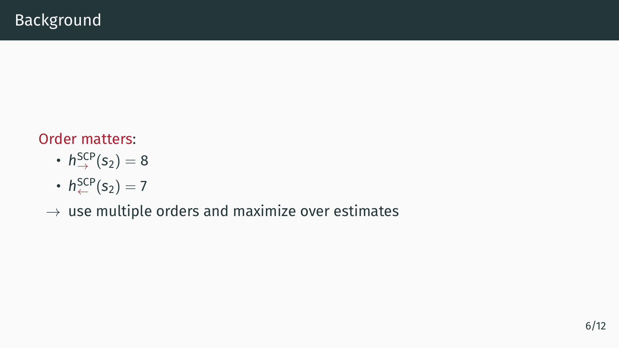#### Order matters:

- $h_{\rightarrow}^{SCP}(s_2)=8$
- $h_{\leftarrow}^{SCP}(s_2)=7$
- *→* use multiple orders and maximize over estimates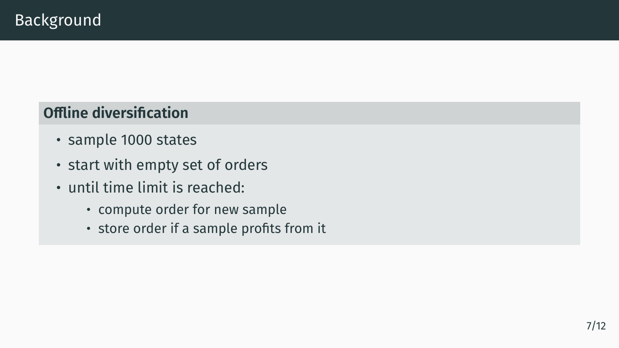# **Offline diversification**

- sample 1000 states
- start with empty set of orders
- until time limit is reached:
	- compute order for new sample
	- store order if a sample profits from it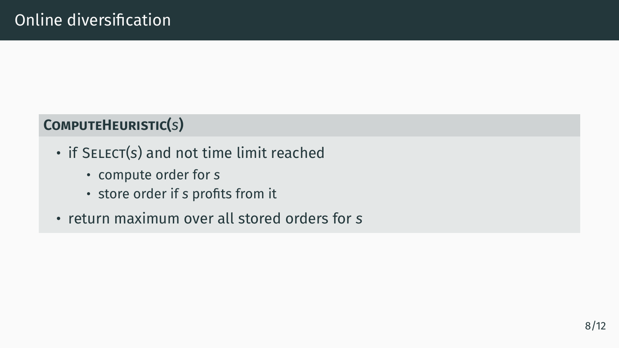### **COMPUTEHEURISTIC(***s***)**

- if SELECT(*s*) and not time limit reached
	- compute order for *s*
	- store order if *s* profits from it
- return maximum over all stored orders for *s*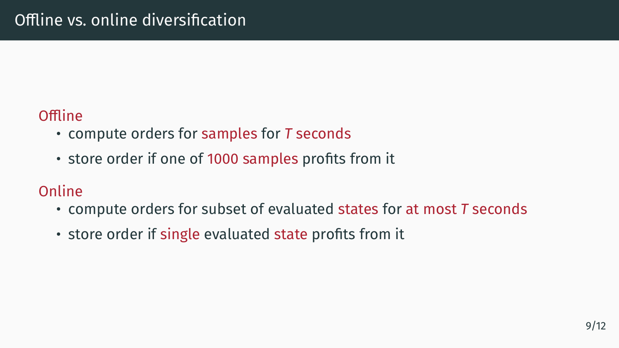#### **Offline**

- compute orders for samples for *T* seconds
- store order if one of 1000 samples profits from it

#### Online

- compute orders for subset of evaluated states for at most *T* seconds
- store order if single evaluated state profits from it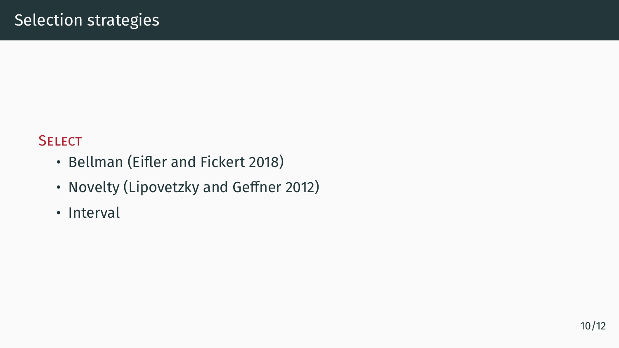#### **SELECT**

- Bellman (Eifler and Fickert 2018)
- Novelty (Lipovetzky and Geffner 2012)
- Interval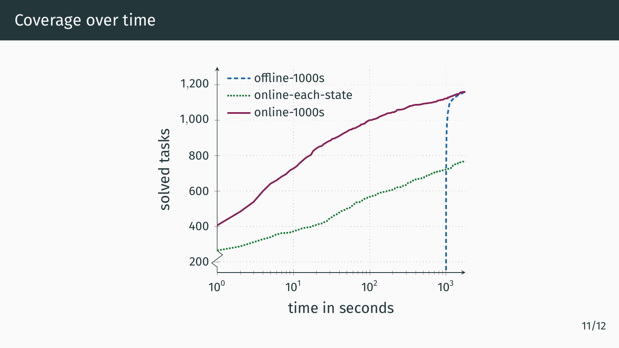Coverage over time